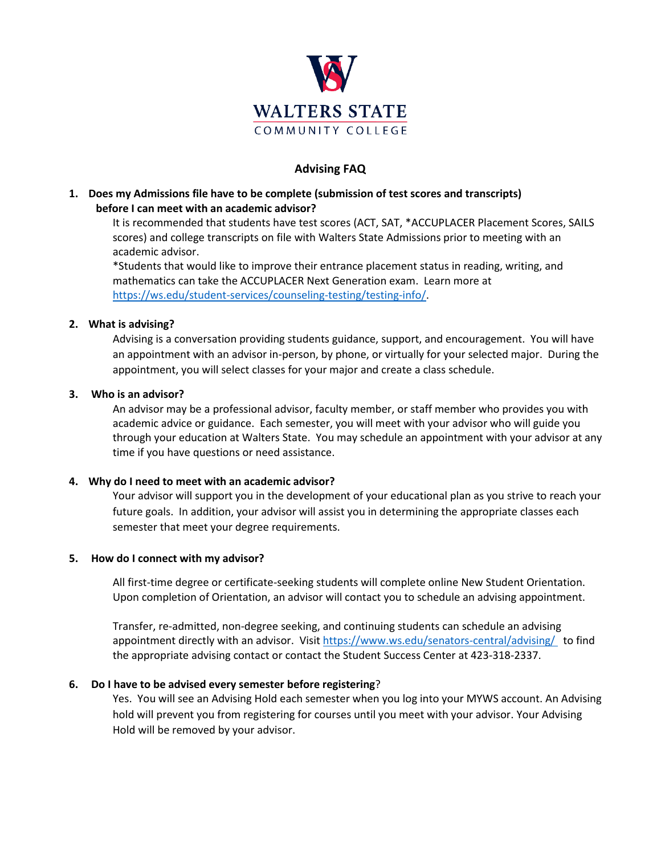

# **Advising FAQ**

# **1. Does my Admissions file have to be complete (submission of test scores and transcripts) before I can meet with an academic advisor?**

It is recommended that students have test scores (ACT, SAT, \*ACCUPLACER Placement Scores, SAILS scores) and college transcripts on file with Walters State Admissions prior to meeting with an academic advisor.

\*Students that would like to improve their entrance placement status in reading, writing, and mathematics can take the ACCUPLACER Next Generation exam. Learn more at [https://ws.edu/student-services/counseling-testing/testing-info/.](https://ws.edu/student-services/counseling-testing/testing-info/)

### **2. What is advising?**

Advising is a conversation providing students guidance, support, and encouragement. You will have an appointment with an advisor in-person, by phone, or virtually for your selected major. During the appointment, you will select classes for your major and create a class schedule.

### **3. Who is an advisor?**

An advisor may be a professional advisor, faculty member, or staff member who provides you with academic advice or guidance. Each semester, you will meet with your advisor who will guide you through your education at Walters State. You may schedule an appointment with your advisor at any time if you have questions or need assistance.

#### **4. Why do I need to meet with an academic advisor?**

Your advisor will support you in the development of your educational plan as you strive to reach your future goals. In addition, your advisor will assist you in determining the appropriate classes each semester that meet your degree requirements.

#### **5. How do I connect with my advisor?**

All first-time degree or certificate-seeking students will complete online New Student Orientation. Upon completion of Orientation, an advisor will contact you to schedule an advising appointment.

Transfer, re-admitted, non-degree seeking, and continuing students can schedule an advising appointment directly with an advisor. Visit <https://www.ws.edu/senators-central/advising/> to find the appropriate advising contact or contact the Student Success Center at 423-318-2337.

# **6. Do I have to be advised every semester before registering**?

Yes. You will see an Advising Hold each semester when you log into your MYWS account. An Advising hold will prevent you from registering for courses until you meet with your advisor. Your Advising Hold will be removed by your advisor.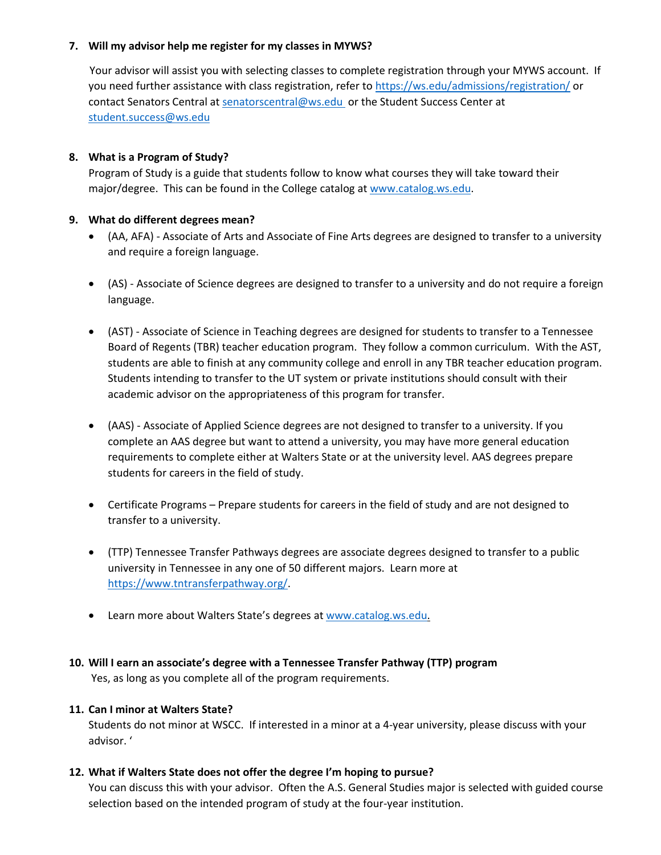#### **7. Will my advisor help me register for my classes in MYWS?**

Your advisor will assist you with selecting classes to complete registration through your MYWS account. If you need further assistance with class registration, refer t[o https://ws.edu/admissions/registration/](https://ws.edu/admissions/registration/) or contact Senators Central at [senatorscentral@ws.edu](mailto:senatorscentral@ws.edu) or the Student Success Center at [student.success@ws.edu](mailto:student.success@ws.edu)

# **8. What is a Program of Study?**

Program of Study is a guide that students follow to know what courses they will take toward their major/degree. This can be found in the College catalog a[t www.catalog.ws.edu.](http://www.catalog.ws.edu/)

### **9. What do different degrees mean?**

- (AA, AFA) Associate of Arts and Associate of Fine Arts degrees are designed to transfer to a university and require a foreign language.
- (AS) Associate of Science degrees are designed to transfer to a university and do not require a foreign language.
- (AST) Associate of Science in Teaching degrees are designed for students to transfer to a Tennessee Board of Regents (TBR) teacher education program. They follow a common curriculum. With the AST, students are able to finish at any community college and enroll in any TBR teacher education program. Students intending to transfer to the UT system or private institutions should consult with their academic advisor on the appropriateness of this program for transfer.
- (AAS) Associate of Applied Science degrees are not designed to transfer to a university. If you complete an AAS degree but want to attend a university, you may have more general education requirements to complete either at Walters State or at the university level. AAS degrees prepare students for careers in the field of study.
- Certificate Programs Prepare students for careers in the field of study and are not designed to transfer to a university.
- (TTP) Tennessee Transfer Pathways degrees are associate degrees designed to transfer to a public university in Tennessee in any one of 50 different majors. Learn more at [https://www.tntransferpathway.org/.](https://www.tntransferpathway.org/)
- Learn more about Walters State's degrees at [www.catalog.ws.edu.](http://www.catalog.ws.edu/)

# **10. Will I earn an associate's degree with a Tennessee Transfer Pathway (TTP) program**

Yes, as long as you complete all of the program requirements.

#### **11. Can I minor at Walters State?**

Students do not minor at WSCC. If interested in a minor at a 4-year university, please discuss with your advisor. '

#### **12. What if Walters State does not offer the degree I'm hoping to pursue?**

You can discuss this with your advisor. Often the A.S. General Studies major is selected with guided course selection based on the intended program of study at the four-year institution.